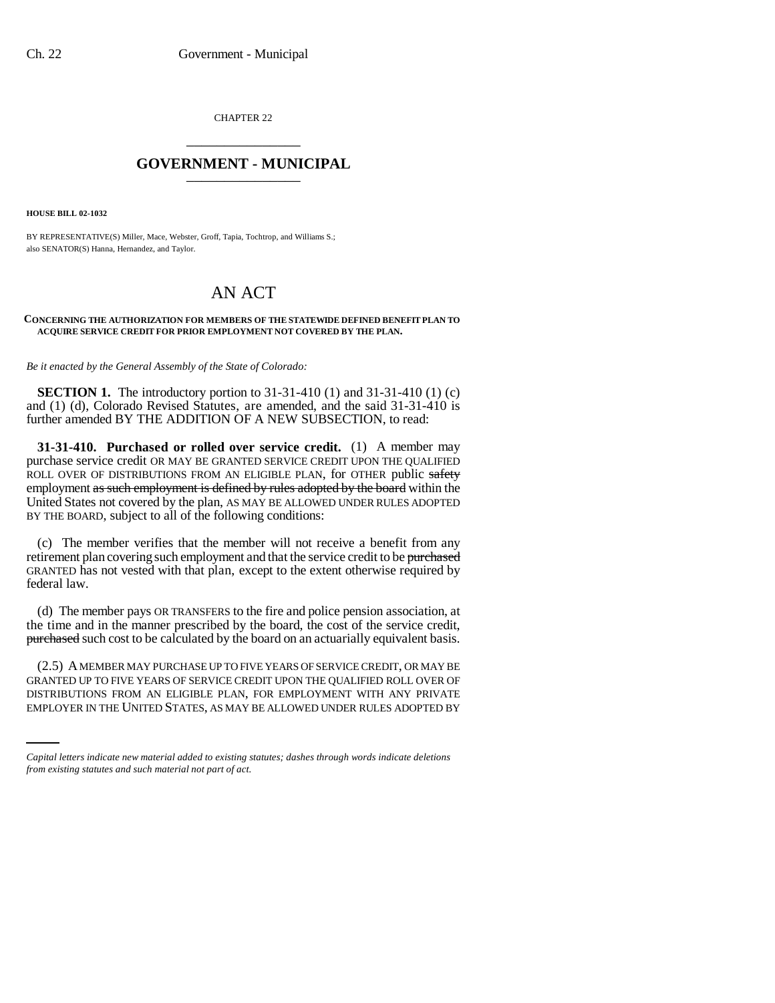CHAPTER 22 \_\_\_\_\_\_\_\_\_\_\_\_\_\_\_

## **GOVERNMENT - MUNICIPAL** \_\_\_\_\_\_\_\_\_\_\_\_\_\_\_

**HOUSE BILL 02-1032**

BY REPRESENTATIVE(S) Miller, Mace, Webster, Groff, Tapia, Tochtrop, and Williams S.; also SENATOR(S) Hanna, Hernandez, and Taylor.

## AN ACT

## **CONCERNING THE AUTHORIZATION FOR MEMBERS OF THE STATEWIDE DEFINED BENEFIT PLAN TO ACQUIRE SERVICE CREDIT FOR PRIOR EMPLOYMENT NOT COVERED BY THE PLAN.**

## *Be it enacted by the General Assembly of the State of Colorado:*

**SECTION 1.** The introductory portion to 31-31-410 (1) and 31-31-410 (1) (c) and (1) (d), Colorado Revised Statutes, are amended, and the said 31-31-410 is further amended BY THE ADDITION OF A NEW SUBSECTION, to read:

**31-31-410. Purchased or rolled over service credit.** (1) A member may purchase service credit OR MAY BE GRANTED SERVICE CREDIT UPON THE QUALIFIED ROLL OVER OF DISTRIBUTIONS FROM AN ELIGIBLE PLAN, for OTHER public safety employment as such employment is defined by rules adopted by the board within the United States not covered by the plan, AS MAY BE ALLOWED UNDER RULES ADOPTED BY THE BOARD, subject to all of the following conditions:

(c) The member verifies that the member will not receive a benefit from any retirement plan covering such employment and that the service credit to be purchased GRANTED has not vested with that plan, except to the extent otherwise required by federal law.

(d) The member pays OR TRANSFERS to the fire and police pension association, at the time and in the manner prescribed by the board, the cost of the service credit, **purchased** such cost to be calculated by the board on an actuarially equivalent basis.

GRANTED UP TO FIVE YEARS OF SERVICE CREDIT UPON THE QUALIFIED ROLL OVER OF (2.5) A MEMBER MAY PURCHASE UP TO FIVE YEARS OF SERVICE CREDIT, OR MAY BE DISTRIBUTIONS FROM AN ELIGIBLE PLAN, FOR EMPLOYMENT WITH ANY PRIVATE EMPLOYER IN THE UNITED STATES, AS MAY BE ALLOWED UNDER RULES ADOPTED BY

*Capital letters indicate new material added to existing statutes; dashes through words indicate deletions from existing statutes and such material not part of act.*